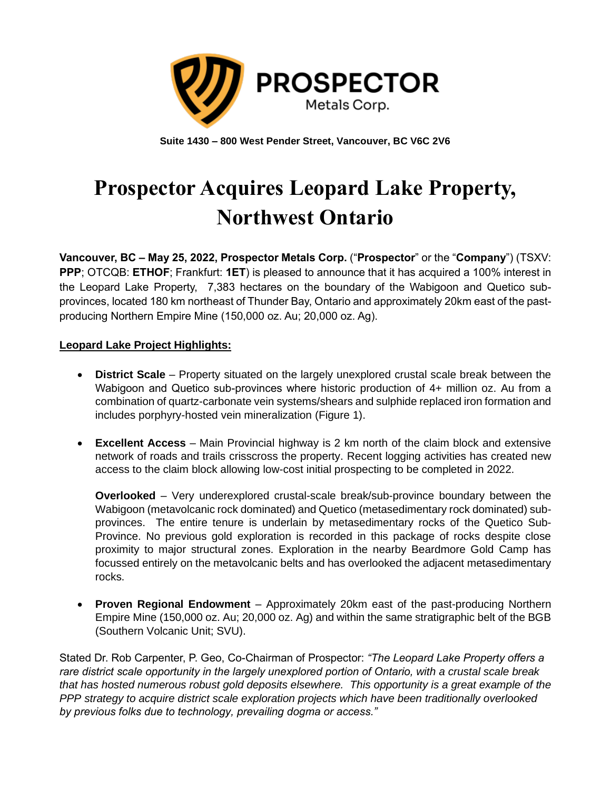

**Suite 1430 – 800 West Pender Street, Vancouver, BC V6C 2V6**

# **Prospector Acquires Leopard Lake Property, Northwest Ontario**

**Vancouver, BC – May 25, 2022, Prospector Metals Corp.** ("**Prospector**" or the "**Company**") (TSXV: **PPP**; OTCQB: **ETHOF**; Frankfurt: **1ET**) is pleased to announce that it has acquired a 100% interest in the Leopard Lake Property, 7,383 hectares on the boundary of the Wabigoon and Quetico subprovinces, located 180 km northeast of Thunder Bay, Ontario and approximately 20km east of the pastproducing Northern Empire Mine (150,000 oz. Au; 20,000 oz. Ag).

## **Leopard Lake Project Highlights:**

- **District Scale**  Property situated on the largely unexplored crustal scale break between the Wabigoon and Quetico sub-provinces where historic production of 4+ million oz. Au from a combination of quartz-carbonate vein systems/shears and sulphide replaced iron formation and includes porphyry-hosted vein mineralization (Figure 1).
- **Excellent Access**  Main Provincial highway is 2 km north of the claim block and extensive network of roads and trails crisscross the property. Recent logging activities has created new access to the claim block allowing low-cost initial prospecting to be completed in 2022.

**Overlooked** – Very underexplored crustal-scale break/sub-province boundary between the Wabigoon (metavolcanic rock dominated) and Quetico (metasedimentary rock dominated) subprovinces. The entire tenure is underlain by metasedimentary rocks of the Quetico Sub-Province. No previous gold exploration is recorded in this package of rocks despite close proximity to major structural zones. Exploration in the nearby Beardmore Gold Camp has focussed entirely on the metavolcanic belts and has overlooked the adjacent metasedimentary rocks.

• **Proven Regional Endowment** – Approximately 20km east of the past-producing Northern Empire Mine (150,000 oz. Au; 20,000 oz. Ag) and within the same stratigraphic belt of the BGB (Southern Volcanic Unit; SVU).

Stated Dr. Rob Carpenter, P. Geo, Co-Chairman of Prospector: *"The Leopard Lake Property offers a rare district scale opportunity in the largely unexplored portion of Ontario, with a crustal scale break that has hosted numerous robust gold deposits elsewhere. This opportunity is a great example of the PPP strategy to acquire district scale exploration projects which have been traditionally overlooked by previous folks due to technology, prevailing dogma or access."*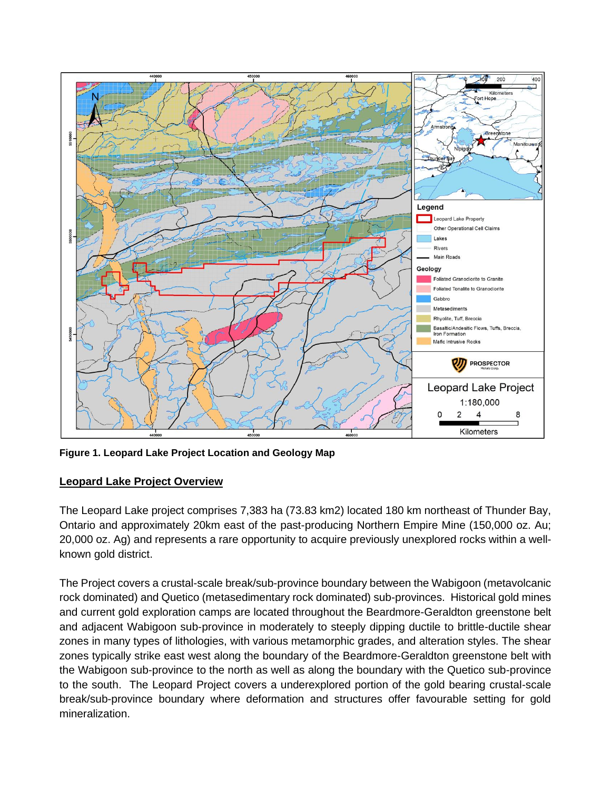

**Figure 1. Leopard Lake Project Location and Geology Map**

## **Leopard Lake Project Overview**

The Leopard Lake project comprises 7,383 ha (73.83 km2) located 180 km northeast of Thunder Bay, Ontario and approximately 20km east of the past-producing Northern Empire Mine (150,000 oz. Au; 20,000 oz. Ag) and represents a rare opportunity to acquire previously unexplored rocks within a wellknown gold district.

The Project covers a crustal-scale break/sub-province boundary between the Wabigoon (metavolcanic rock dominated) and Quetico (metasedimentary rock dominated) sub-provinces. Historical gold mines and current gold exploration camps are located throughout the Beardmore-Geraldton greenstone belt and adjacent Wabigoon sub-province in moderately to steeply dipping ductile to brittle-ductile shear zones in many types of lithologies, with various metamorphic grades, and alteration styles. The shear zones typically strike east west along the boundary of the Beardmore-Geraldton greenstone belt with the Wabigoon sub-province to the north as well as along the boundary with the Quetico sub-province to the south. The Leopard Project covers a underexplored portion of the gold bearing crustal-scale break/sub-province boundary where deformation and structures offer favourable setting for gold mineralization.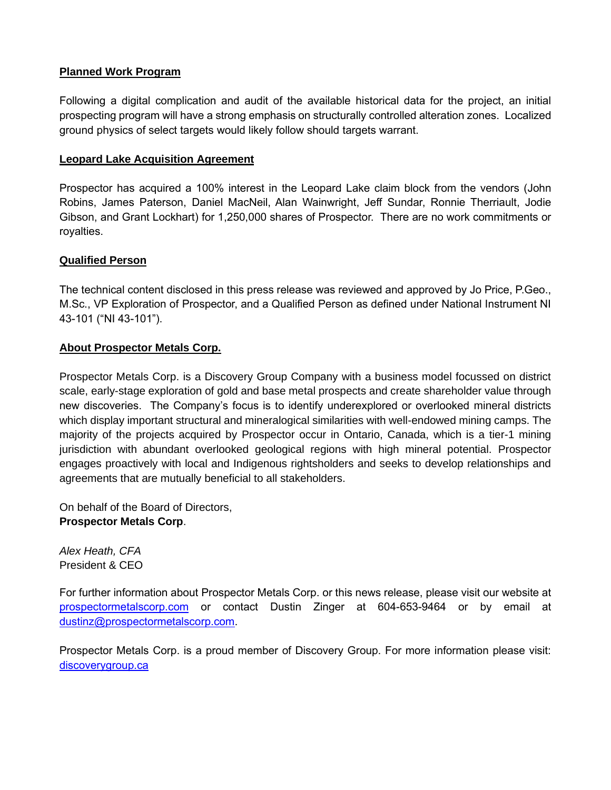## **Planned Work Program**

Following a digital complication and audit of the available historical data for the project, an initial prospecting program will have a strong emphasis on structurally controlled alteration zones. Localized ground physics of select targets would likely follow should targets warrant.

### **Leopard Lake Acquisition Agreement**

Prospector has acquired a 100% interest in the Leopard Lake claim block from the vendors (John Robins, James Paterson, Daniel MacNeil, Alan Wainwright, Jeff Sundar, Ronnie Therriault, Jodie Gibson, and Grant Lockhart) for 1,250,000 shares of Prospector. There are no work commitments or royalties.

## **Qualified Person**

The technical content disclosed in this press release was reviewed and approved by Jo Price, P.Geo., M.Sc., VP Exploration of Prospector, and a Qualified Person as defined under National Instrument NI 43-101 ("NI 43-101").

## **About Prospector Metals Corp.**

Prospector Metals Corp. is a Discovery Group Company with a business model focussed on district scale, early-stage exploration of gold and base metal prospects and create shareholder value through new discoveries. The Company's focus is to identify underexplored or overlooked mineral districts which display important structural and mineralogical similarities with well-endowed mining camps. The majority of the projects acquired by Prospector occur in Ontario, Canada, which is a tier-1 mining jurisdiction with abundant overlooked geological regions with high mineral potential. Prospector engages proactively with local and Indigenous rightsholders and seeks to develop relationships and agreements that are mutually beneficial to all stakeholders.

On behalf of the Board of Directors, **Prospector Metals Corp**.

*Alex Heath, CFA* President & CEO

For further information about Prospector Metals Corp. or this news release, please visit our website at [prospectormetalscorp.com](http://www.ethosgold.com/) or contact Dustin Zinger at 604-653-9464 or by email at [dustinz@prospectormetalscorp.com.](mailto:dustinz@prospectormetalscorp.com)

Prospector Metals Corp. is a proud member of Discovery Group. For more information please visit: [discoverygroup.ca](http://www.discoverygroup.ca/)